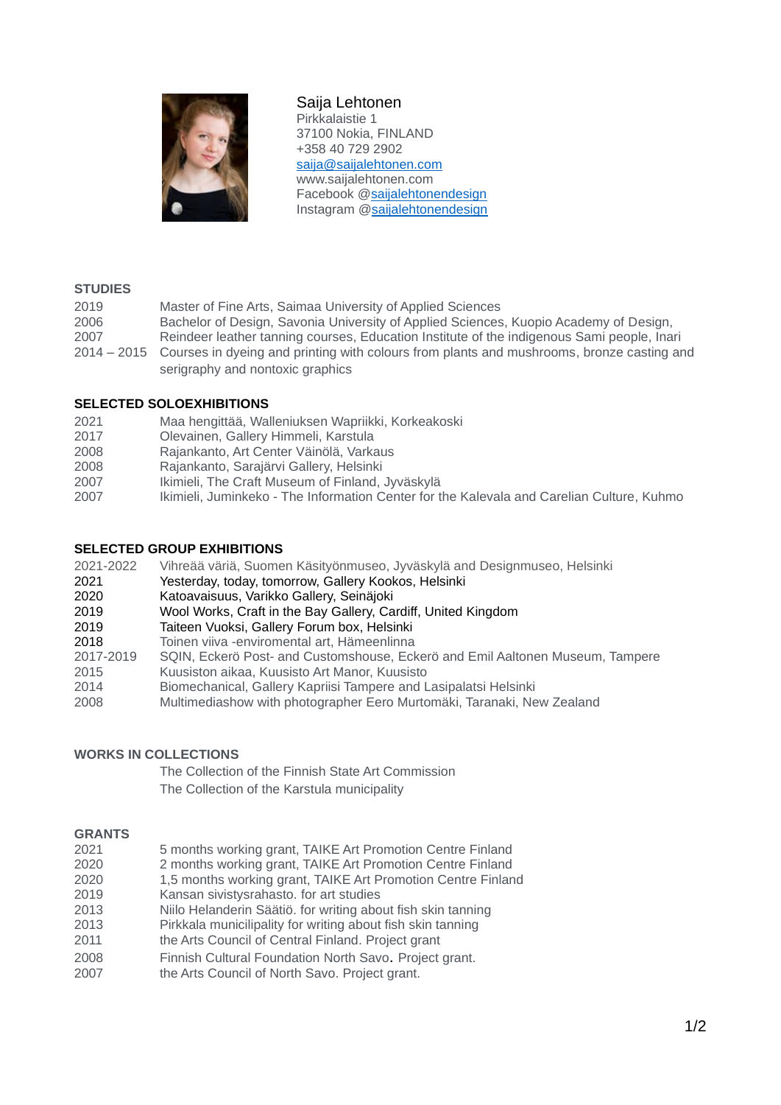

# Saija Lehtonen

Pirkkalaistie 1 37100 Nokia, FINLAND +358 40 729 2902 [saija@saijalehtonen.com](mailto:saija@saijalehtonen.com) www.saijalehtonen.com Facebook [@saijalehtonendesign](http://www.facebook.com/saijalehtonendesign) Instagram [@saijalehtonendesign](https://www.instagram.com/saijalehtonendesign/)

## **STUDIES**

| 2019        | Master of Fine Arts, Saimaa University of Applied Sciences                                 |
|-------------|--------------------------------------------------------------------------------------------|
| 2006        | Bachelor of Design, Savonia University of Applied Sciences, Kuopio Academy of Design,      |
| 2007        | Reindeer leather tanning courses, Education Institute of the indigenous Sami people, Inari |
| 2014 – 2015 | Courses in dyeing and printing with colours from plants and mushrooms, bronze casting and  |
|             | serigraphy and nontoxic graphics                                                           |

## **SELECTED SOLOEXHIBITIONS**

- 2021 Maa hengittää, Walleniuksen Wapriikki, Korkeakoski
- 2017 Olevainen, Gallery Himmeli, Karstula
- 2008 Rajankanto, Art Center Väinölä, Varkaus
- 2008 Rajankanto, Sarajärvi Gallery, Helsinki
- 2007 Ikimieli, The Craft Museum of Finland, Jyväskylä
- 2007 Ikimieli, Juminkeko The Information Center for the Kalevala and Carelian Culture, Kuhmo

## **SELECTED GROUP EXHIBITIONS**

- 2021-2022 Vihreää väriä, Suomen Käsityönmuseo, Jyväskylä and Designmuseo, Helsinki
- 2021 Yesterday, today, tomorrow, Gallery Kookos, Helsinki
- 2020 Katoavaisuus, Varikko Gallery, Seinäjoki
- 2019 Wool Works, Craft in the Bay Gallery, Cardiff, United Kingdom
- 2019 Taiteen Vuoksi, Gallery Forum box, Helsinki
- 2018 Toinen viiva -enviromental art, Hämeenlinna
- 2017-2019 SQIN, Eckerö Post- and Customshouse, Eckerö and Emil Aaltonen Museum, Tampere
- 2015 Kuusiston aikaa, Kuusisto Art Manor, Kuusisto
- 2014 Biomechanical, Gallery Kapriisi Tampere and Lasipalatsi Helsinki
- 2008 Multimediashow with photographer Eero Murtomäki, Taranaki, New Zealand

#### **WORKS IN COLLECTIONS**

The Collection of the Finnish State Art Commission The Collection of the Karstula municipality

#### **GRANTS**

- 2021 5 months working grant, TAIKE Art Promotion Centre Finland
- 2020 2 months working grant, TAIKE Art Promotion Centre Finland
- 2020 1,5 months working grant, TAIKE Art Promotion Centre Finland
- 2019 Kansan sivistysrahasto. for art studies
- 2013 Niilo Helanderin Säätiö. for writing about fish skin tanning
- 2013 Pirkkala municilipality for writing about fish skin tanning
- 2011 the Arts Council of Central Finland. Project grant
- 2008 Finnish Cultural Foundation North Savo. Project grant.
- 2007 the Arts Council of North Savo. Project grant.